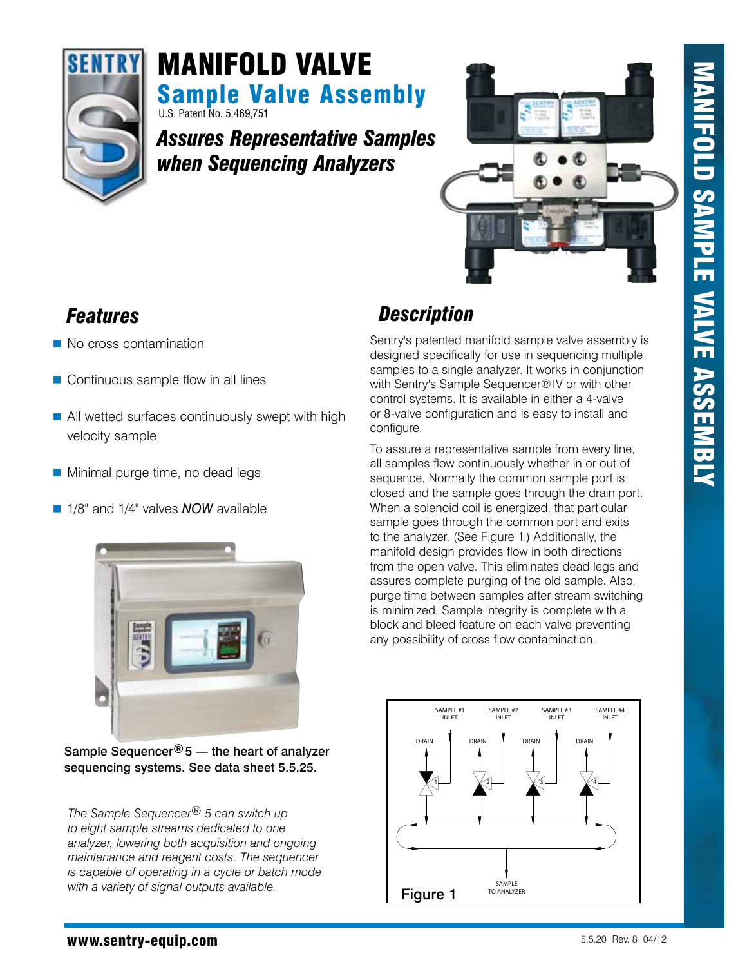

# U.S. Patent No. 5,469,751 Sample Valve Assembly MANIFOLD valve

*Assures Representative Samples when Sequencing Analyzers*



- No cross contamination
- Continuous sample flow in all lines
- All wetted surfaces continuously swept with high velocity sample
- **Minimal purge time, no dead legs**
- **1/8" and 1/4" valves** *NOW* available



Sample Sequencer $@5$  — the heart of analyzer sequencing systems. See data sheet 5.5.25.

*The Sample Sequencer® 5 can switch up to eight sample streams dedicated to one analyzer, lowering both acquisition and ongoing maintenance and reagent costs. The sequencer is capable of operating in a cycle or batch mode with a variety of signal outputs available.*

# *Features Description*

Sentry's patented manifold sample valve assembly is designed specifically for use in sequencing multiple samples to a single analyzer. It works in conjunction with Sentry's Sample Sequencer®IV or with other control systems. It is available in either a 4-valve or 8-valve configuration and is easy to install and configure.

To assure a representative sample from every line, all samples flow continuously whether in or out of sequence. Normally the common sample port is closed and the sample goes through the drain port. When a solenoid coil is energized, that particular sample goes through the common port and exits to the analyzer. (See Figure 1.) Additionally, the manifold design provides flow in both directions from the open valve. This eliminates dead legs and assures complete purging of the old sample. Also, purge time between samples after stream switching is minimized. Sample integrity is complete with a block and bleed feature on each valve preventing any possibility of cross flow contamination.